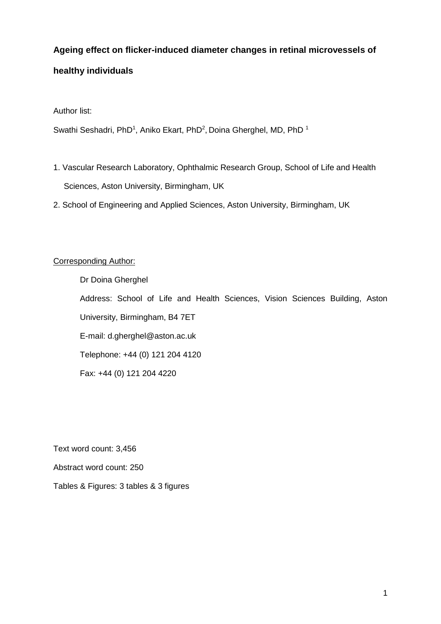# **Ageing effect on flicker-induced diameter changes in retinal microvessels of**

# **healthy individuals**

Author list:

Swathi Seshadri, PhD<sup>1</sup>, Aniko Ekart, PhD<sup>2</sup>, Doina Gherghel, MD, PhD<sup>1</sup>

- 1. Vascular Research Laboratory, Ophthalmic Research Group, School of Life and Health Sciences, Aston University, Birmingham, UK
- 2. School of Engineering and Applied Sciences, Aston University, Birmingham, UK

## Corresponding Author:

Dr Doina Gherghel Address: School of Life and Health Sciences, Vision Sciences Building, Aston University, Birmingham, B4 7ET E-mail: d.gherghel@aston.ac.uk Telephone: +44 (0) 121 204 4120 Fax: +44 (0) 121 204 4220

Text word count: 3,456

Abstract word count: 250

Tables & Figures: 3 tables & 3 figures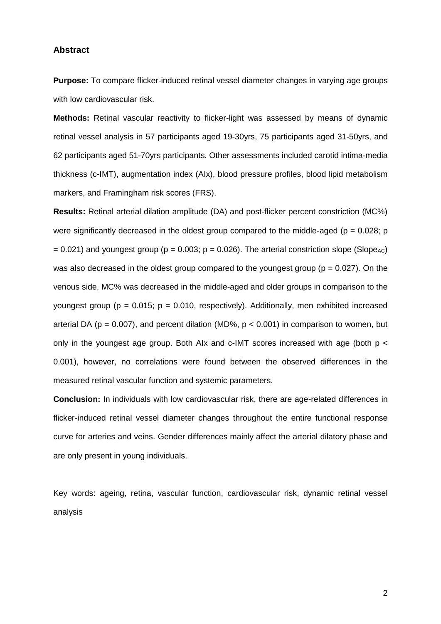#### **Abstract**

**Purpose:** To compare flicker-induced retinal vessel diameter changes in varying age groups with low cardiovascular risk.

**Methods:** Retinal vascular reactivity to flicker-light was assessed by means of dynamic retinal vessel analysis in 57 participants aged 19-30yrs, 75 participants aged 31-50yrs, and 62 participants aged 51-70yrs participants. Other assessments included carotid intima-media thickness (c-IMT), augmentation index (AIx), blood pressure profiles, blood lipid metabolism markers, and Framingham risk scores (FRS).

**Results:** Retinal arterial dilation amplitude (DA) and post-flicker percent constriction (MC%) were significantly decreased in the oldest group compared to the middle-aged ( $p = 0.028$ ; p  $= 0.021$ ) and youngest group (p = 0.003; p = 0.026). The arterial constriction slope (Slope<sub>AC</sub>) was also decreased in the oldest group compared to the youngest group ( $p = 0.027$ ). On the venous side, MC% was decreased in the middle-aged and older groups in comparison to the youngest group ( $p = 0.015$ ;  $p = 0.010$ , respectively). Additionally, men exhibited increased arterial DA ( $p = 0.007$ ), and percent dilation (MD%,  $p < 0.001$ ) in comparison to women, but only in the youngest age group. Both AIx and c-IMT scores increased with age (both p < 0.001), however, no correlations were found between the observed differences in the measured retinal vascular function and systemic parameters.

**Conclusion:** In individuals with low cardiovascular risk, there are age-related differences in flicker-induced retinal vessel diameter changes throughout the entire functional response curve for arteries and veins. Gender differences mainly affect the arterial dilatory phase and are only present in young individuals.

Key words: ageing, retina, vascular function, cardiovascular risk, dynamic retinal vessel analysis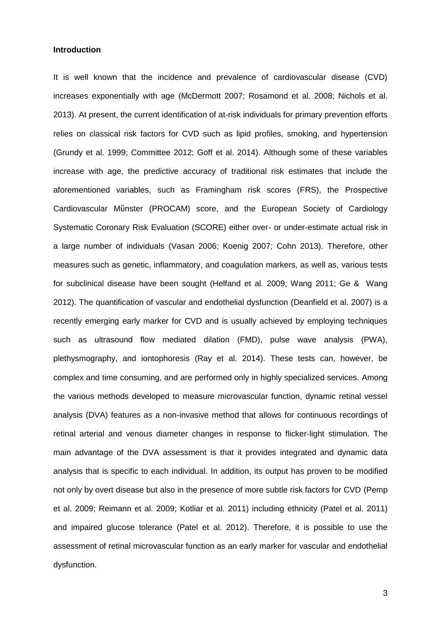#### **Introduction**

It is well known that the incidence and prevalence of cardiovascular disease (CVD) increases exponentially with age [\(McDermott 2007;](#page-15-0) [Rosamond et al. 2008;](#page-17-0) [Nichols et al.](#page-15-1)  [2013\)](#page-15-1). At present, the current identification of at-risk individuals for primary prevention efforts relies on classical risk factors for CVD such as lipid profiles, smoking, and hypertension [\(Grundy et al. 1999;](#page-14-0) [Committee 2012;](#page-13-0) [Goff et al. 2014\)](#page-13-1). Although some of these variables increase with age, the predictive accuracy of traditional risk estimates that include the aforementioned variables, such as Framingham risk scores (FRS), the Prospective Cardiovascular Mὒnster (PROCAM) score, and the European Society of Cardiology Systematic Coronary Risk Evaluation (SCORE) either over- or under-estimate actual risk in a large number of individuals [\(Vasan 2006;](#page-17-1) [Koenig 2007;](#page-14-1) [Cohn 2013\)](#page-13-2). Therefore, other measures such as genetic, inflammatory, and coagulation markers, as well as, various tests for subclinical disease have been sought [\(Helfand et al. 2009;](#page-14-2) [Wang 2011;](#page-17-2) [Ge & Wang](#page-13-3)  [2012\)](#page-13-3). The quantification of vascular and endothelial dysfunction [\(Deanfield et al. 2007\)](#page-13-4) is a recently emerging early marker for CVD and is usually achieved by employing techniques such as ultrasound flow mediated dilation (FMD), pulse wave analysis (PWA), plethysmography, and iontophoresis [\(Ray et al. 2014\)](#page-16-0). These tests can, however, be complex and time consuming, and are performed only in highly specialized services. Among the various methods developed to measure microvascular function, dynamic retinal vessel analysis (DVA) features as a non-invasive method that allows for continuous recordings of retinal arterial and venous diameter changes in response to flicker-light stimulation. The main advantage of the DVA assessment is that it provides integrated and dynamic data analysis that is specific to each individual. In addition, its output has proven to be modified not only by overt disease but also in the presence of more subtle risk factors for CVD [\(Pemp](#page-16-1)  [et al. 2009;](#page-16-1) [Reimann et al. 2009;](#page-16-2) [Kotliar et al. 2011\)](#page-15-2) including ethnicity [\(Patel et al. 2011\)](#page-16-3) and impaired glucose tolerance [\(Patel et al. 2012\)](#page-16-4). Therefore, it is possible to use the assessment of retinal microvascular function as an early marker for vascular and endothelial dysfunction.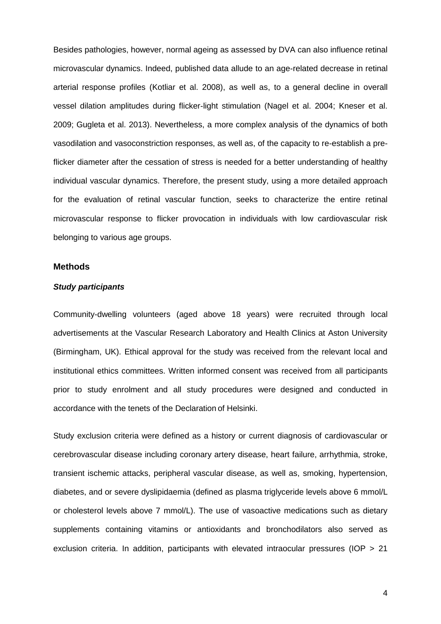Besides pathologies, however, normal ageing as assessed by DVA can also influence retinal microvascular dynamics. Indeed, published data allude to an age-related decrease in retinal arterial response profiles [\(Kotliar et al. 2008\)](#page-15-3), as well as, to a general decline in overall vessel dilation amplitudes during flicker-light stimulation [\(Nagel et al. 2004;](#page-15-4) [Kneser et al.](#page-14-3)  [2009;](#page-14-3) [Gugleta et al. 2013\)](#page-14-4). Nevertheless, a more complex analysis of the dynamics of both vasodilation and vasoconstriction responses, as well as, of the capacity to re-establish a preflicker diameter after the cessation of stress is needed for a better understanding of healthy individual vascular dynamics. Therefore, the present study, using a more detailed approach for the evaluation of retinal vascular function, seeks to characterize the entire retinal microvascular response to flicker provocation in individuals with low cardiovascular risk belonging to various age groups.

### **Methods**

### *Study participants*

Community-dwelling volunteers (aged above 18 years) were recruited through local advertisements at the Vascular Research Laboratory and Health Clinics at Aston University (Birmingham, UK). Ethical approval for the study was received from the relevant local and institutional ethics committees. Written informed consent was received from all participants prior to study enrolment and all study procedures were designed and conducted in accordance with the tenets of the Declaration of Helsinki.

Study exclusion criteria were defined as a history or current diagnosis of cardiovascular or cerebrovascular disease including coronary artery disease, heart failure, arrhythmia, stroke, transient ischemic attacks, peripheral vascular disease, as well as, smoking, hypertension, diabetes, and or severe dyslipidaemia (defined as plasma triglyceride levels above 6 mmol/L or cholesterol levels above 7 mmol/L). The use of vasoactive medications such as dietary supplements containing vitamins or antioxidants and bronchodilators also served as exclusion criteria. In addition, participants with elevated intraocular pressures (IOP > 21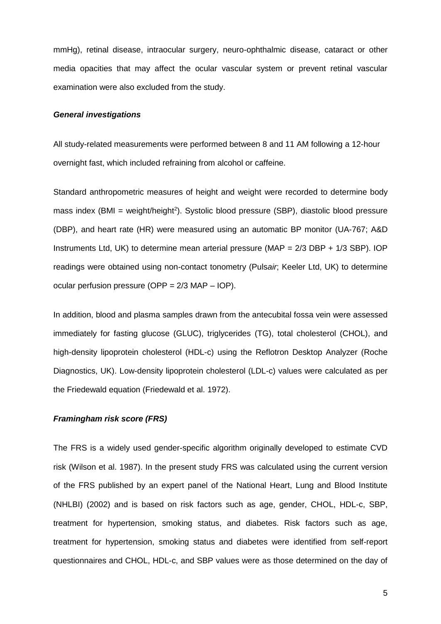mmHg), retinal disease, intraocular surgery, neuro-ophthalmic disease, cataract or other media opacities that may affect the ocular vascular system or prevent retinal vascular examination were also excluded from the study.

### *General investigations*

All study-related measurements were performed between 8 and 11 AM following a 12-hour overnight fast, which included refraining from alcohol or caffeine.

Standard anthropometric measures of height and weight were recorded to determine body mass index (BMI = weight/height<sup>2</sup>). Systolic blood pressure (SBP), diastolic blood pressure (DBP), and heart rate (HR) were measured using an automatic BP monitor (UA-767; A&D Instruments Ltd, UK) to determine mean arterial pressure (MAP = 2/3 DBP + 1/3 SBP). IOP readings were obtained using non-contact tonometry (Puls*air*; Keeler Ltd, UK) to determine ocular perfusion pressure (OPP = 2/3 MAP – IOP).

In addition, blood and plasma samples drawn from the antecubital fossa vein were assessed immediately for fasting glucose (GLUC), triglycerides (TG), total cholesterol (CHOL), and high-density lipoprotein cholesterol (HDL-c) using the Reflotron Desktop Analyzer (Roche Diagnostics, UK). Low-density lipoprotein cholesterol (LDL-c) values were calculated as per the Friedewald equation [\(Friedewald et al. 1972\)](#page-13-5).

### *Framingham risk score (FRS)*

The FRS is a widely used gender-specific algorithm originally developed to estimate CVD risk [\(Wilson et al. 1987\)](#page-18-0). In the present study FRS was calculated using the current version of the FRS published by an expert panel of the National Heart, Lung and Blood Institute (NHLBI) [\(2002\)](#page-15-5) and is based on risk factors such as age, gender, CHOL, HDL-c, SBP, treatment for hypertension, smoking status, and diabetes. Risk factors such as age, treatment for hypertension, smoking status and diabetes were identified from self-report questionnaires and CHOL, HDL-c, and SBP values were as those determined on the day of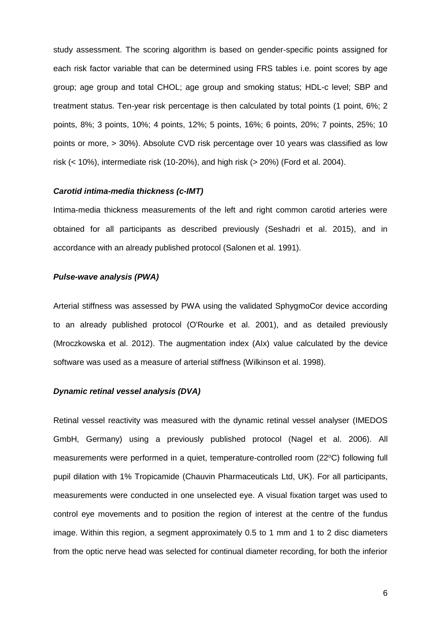study assessment. The scoring algorithm is based on gender-specific points assigned for each risk factor variable that can be determined using FRS tables i.e. point scores by age group; age group and total CHOL; age group and smoking status; HDL-c level; SBP and treatment status. Ten-year risk percentage is then calculated by total points (1 point, 6%; 2 points, 8%; 3 points, 10%; 4 points, 12%; 5 points, 16%; 6 points, 20%; 7 points, 25%; 10 points or more, > 30%). Absolute CVD risk percentage over 10 years was classified as low risk (< 10%), intermediate risk (10-20%), and high risk (> 20%) [\(Ford et al. 2004\)](#page-13-6).

### *Carotid intima-media thickness (c-IMT)*

Intima-media thickness measurements of the left and right common carotid arteries were obtained for all participants as described previously [\(Seshadri et al. 2015\)](#page-17-3), and in accordance with an already published protocol [\(Salonen et al. 1991\)](#page-17-4).

### *Pulse-wave analysis (PWA)*

Arterial stiffness was assessed by PWA using the validated SphygmoCor device according to an already published protocol [\(O'Rourke et al. 2001\)](#page-16-5), and as detailed previously [\(Mroczkowska et al. 2012\)](#page-15-6). The augmentation index (AIx) value calculated by the device software was used as a measure of arterial stiffness [\(Wilkinson et al. 1998\)](#page-17-5).

### *Dynamic retinal vessel analysis (DVA)*

Retinal vessel reactivity was measured with the dynamic retinal vessel analyser (IMEDOS GmbH, Germany) using a previously published protocol [\(Nagel et al. 2006\)](#page-15-7). All measurements were performed in a quiet, temperature-controlled room (22°C) following full pupil dilation with 1% Tropicamide (Chauvin Pharmaceuticals Ltd, UK). For all participants, measurements were conducted in one unselected eye. A visual fixation target was used to control eye movements and to position the region of interest at the centre of the fundus image. Within this region, a segment approximately 0.5 to 1 mm and 1 to 2 disc diameters from the optic nerve head was selected for continual diameter recording, for both the inferior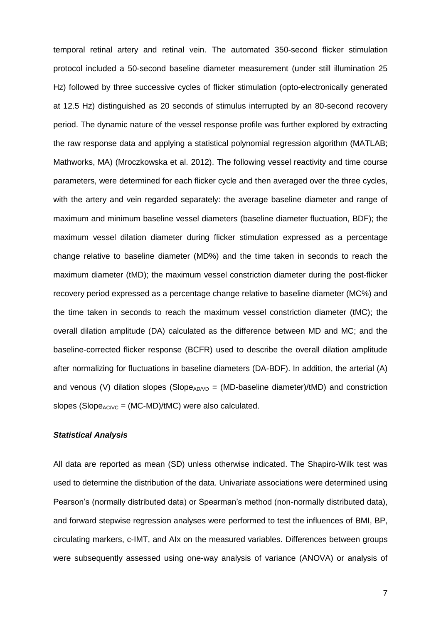temporal retinal artery and retinal vein. The automated 350-second flicker stimulation protocol included a 50-second baseline diameter measurement (under still illumination 25 Hz) followed by three successive cycles of flicker stimulation (opto-electronically generated at 12.5 Hz) distinguished as 20 seconds of stimulus interrupted by an 80-second recovery period. The dynamic nature of the vessel response profile was further explored by extracting the raw response data and applying a statistical polynomial regression algorithm (MATLAB; Mathworks, MA) [\(Mroczkowska et al. 2012\)](#page-15-6). The following vessel reactivity and time course parameters, were determined for each flicker cycle and then averaged over the three cycles, with the artery and vein regarded separately: the average baseline diameter and range of maximum and minimum baseline vessel diameters (baseline diameter fluctuation, BDF); the maximum vessel dilation diameter during flicker stimulation expressed as a percentage change relative to baseline diameter (MD%) and the time taken in seconds to reach the maximum diameter (tMD); the maximum vessel constriction diameter during the post-flicker recovery period expressed as a percentage change relative to baseline diameter (MC%) and the time taken in seconds to reach the maximum vessel constriction diameter (tMC); the overall dilation amplitude (DA) calculated as the difference between MD and MC; and the baseline-corrected flicker response (BCFR) used to describe the overall dilation amplitude after normalizing for fluctuations in baseline diameters (DA-BDF). In addition, the arterial (A) and venous (V) dilation slopes (Slope<sub>AD/VD</sub> = (MD-baseline diameter)/tMD) and constriction slopes (Slope $_{AC/VC}$  = (MC-MD)/tMC) were also calculated.

### *Statistical Analysis*

All data are reported as mean (SD) unless otherwise indicated. The Shapiro-Wilk test was used to determine the distribution of the data. Univariate associations were determined using Pearson's (normally distributed data) or Spearman's method (non-normally distributed data), and forward stepwise regression analyses were performed to test the influences of BMI, BP, circulating markers, c-IMT, and AIx on the measured variables. Differences between groups were subsequently assessed using one-way analysis of variance (ANOVA) or analysis of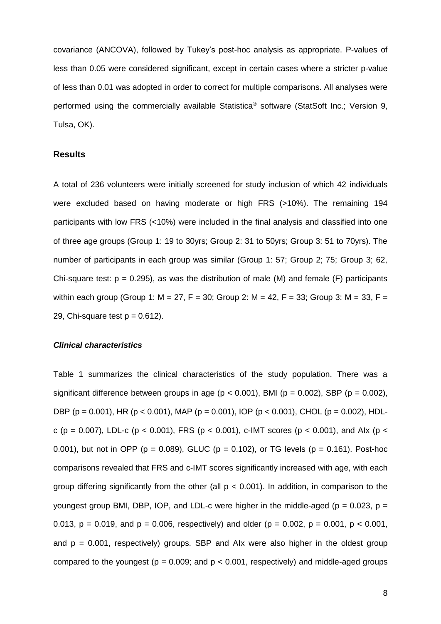covariance (ANCOVA), followed by Tukey's post-hoc analysis as appropriate. P-values of less than 0.05 were considered significant, except in certain cases where a stricter p*-*value of less than 0.01 was adopted in order to correct for multiple comparisons. All analyses were performed using the commercially available Statistica® software (StatSoft Inc.; Version 9, Tulsa, OK).

### **Results**

A total of 236 volunteers were initially screened for study inclusion of which 42 individuals were excluded based on having moderate or high FRS (>10%). The remaining 194 participants with low FRS (<10%) were included in the final analysis and classified into one of three age groups (Group 1: 19 to 30yrs; Group 2: 31 to 50yrs; Group 3: 51 to 70yrs). The number of participants in each group was similar (Group 1: 57; Group 2; 75; Group 3; 62, Chi-square test:  $p = 0.295$ ), as was the distribution of male (M) and female (F) participants within each group (Group 1:  $M = 27$ ,  $F = 30$ ; Group 2:  $M = 42$ ,  $F = 33$ ; Group 3:  $M = 33$ ,  $F =$ 29, Chi-square test  $p = 0.612$ ).

### *Clinical characteristics*

Table 1 summarizes the clinical characteristics of the study population. There was a significant difference between groups in age ( $p < 0.001$ ), BMI ( $p = 0.002$ ), SBP ( $p = 0.002$ ), DBP (p = 0.001), HR (p < 0.001), MAP (p = 0.001), IOP (p < 0.001), CHOL (p = 0.002), HDLc (p = 0.007), LDL-c (p < 0.001), FRS (p < 0.001), c-IMT scores (p < 0.001), and AIx (p < 0.001), but not in OPP ( $p = 0.089$ ), GLUC ( $p = 0.102$ ), or TG levels ( $p = 0.161$ ). Post-hoc comparisons revealed that FRS and c-IMT scores significantly increased with age, with each group differing significantly from the other (all  $p < 0.001$ ). In addition, in comparison to the youngest group BMI, DBP, IOP, and LDL-c were higher in the middle-aged ( $p = 0.023$ ,  $p =$ 0.013,  $p = 0.019$ , and  $p = 0.006$ , respectively) and older ( $p = 0.002$ ,  $p = 0.001$ ,  $p < 0.001$ , and  $p = 0.001$ , respectively) groups. SBP and Alx were also higher in the oldest group compared to the youngest ( $p = 0.009$ ; and  $p < 0.001$ , respectively) and middle-aged groups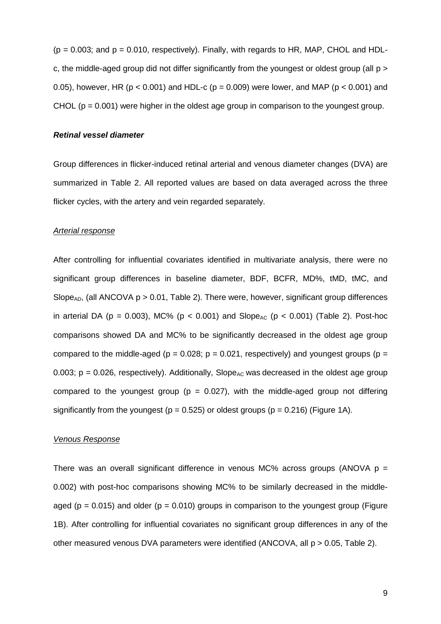$(p = 0.003;$  and  $p = 0.010$ , respectively). Finally, with regards to HR, MAP, CHOL and HDLc, the middle-aged group did not differ significantly from the youngest or oldest group (all p > 0.05), however, HR ( $p < 0.001$ ) and HDL-c ( $p = 0.009$ ) were lower, and MAP ( $p < 0.001$ ) and CHOL ( $p = 0.001$ ) were higher in the oldest age group in comparison to the youngest group.

### *Retinal vessel diameter*

Group differences in flicker-induced retinal arterial and venous diameter changes (DVA) are summarized in Table 2. All reported values are based on data averaged across the three flicker cycles, with the artery and vein regarded separately.

### *Arterial response*

After controlling for influential covariates identified in multivariate analysis, there were no significant group differences in baseline diameter, BDF, BCFR, MD%, tMD, tMC, and Slope<sub>AD</sub>, (all ANCOVA  $p > 0.01$ . Table 2). There were, however, significant group differences in arterial DA ( $p = 0.003$ ), MC% ( $p < 0.001$ ) and Slope<sub>AC</sub> ( $p < 0.001$ ) (Table 2). Post-hoc comparisons showed DA and MC% to be significantly decreased in the oldest age group compared to the middle-aged ( $p = 0.028$ ;  $p = 0.021$ , respectively) and youngest groups ( $p =$ 0.003; p = 0.026, respectively). Additionally, Slope<sub>AC</sub> was decreased in the oldest age group compared to the youngest group ( $p = 0.027$ ), with the middle-aged group not differing significantly from the youngest ( $p = 0.525$ ) or oldest groups ( $p = 0.216$ ) (Figure 1A).

### *Venous Response*

There was an overall significant difference in venous MC% across groups (ANOVA  $p =$ 0.002) with post-hoc comparisons showing MC% to be similarly decreased in the middleaged ( $p = 0.015$ ) and older ( $p = 0.010$ ) groups in comparison to the youngest group (Figure 1B). After controlling for influential covariates no significant group differences in any of the other measured venous DVA parameters were identified (ANCOVA, all p > 0.05, Table 2).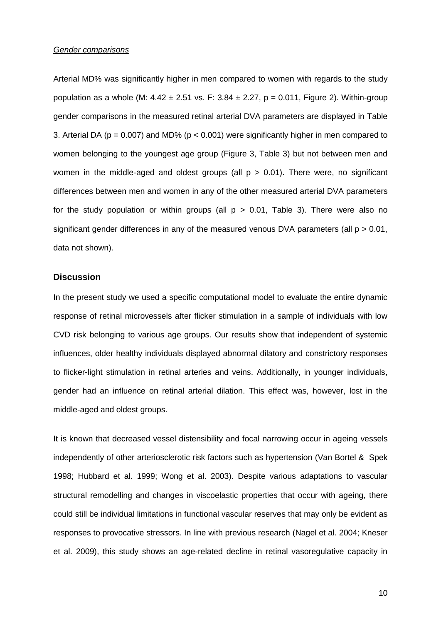#### *Gender comparisons*

Arterial MD% was significantly higher in men compared to women with regards to the study population as a whole (M:  $4.42 \pm 2.51$  vs. F:  $3.84 \pm 2.27$ , p = 0.011, Figure 2). Within-group gender comparisons in the measured retinal arterial DVA parameters are displayed in Table 3. Arterial DA ( $p = 0.007$ ) and MD% ( $p < 0.001$ ) were significantly higher in men compared to women belonging to the youngest age group (Figure 3, Table 3) but not between men and women in the middle-aged and oldest groups (all  $p > 0.01$ ). There were, no significant differences between men and women in any of the other measured arterial DVA parameters for the study population or within groups (all  $p > 0.01$ . Table 3). There were also no significant gender differences in any of the measured venous DVA parameters (all  $p > 0.01$ , data not shown).

### **Discussion**

In the present study we used a specific computational model to evaluate the entire dynamic response of retinal microvessels after flicker stimulation in a sample of individuals with low CVD risk belonging to various age groups. Our results show that independent of systemic influences, older healthy individuals displayed abnormal dilatory and constrictory responses to flicker-light stimulation in retinal arteries and veins. Additionally, in younger individuals, gender had an influence on retinal arterial dilation. This effect was, however, lost in the middle-aged and oldest groups.

It is known that decreased vessel distensibility and focal narrowing occur in ageing vessels independently of other arteriosclerotic risk factors such as hypertension [\(Van Bortel & Spek](#page-17-6)  [1998;](#page-17-6) [Hubbard et al. 1999;](#page-14-5) [Wong et al. 2003\)](#page-18-1). Despite various adaptations to vascular structural remodelling and changes in viscoelastic properties that occur with ageing, there could still be individual limitations in functional vascular reserves that may only be evident as responses to provocative stressors. In line with previous research [\(Nagel et al. 2004;](#page-15-4) [Kneser](#page-14-3)  [et al. 2009\)](#page-14-3), this study shows an age-related decline in retinal vasoregulative capacity in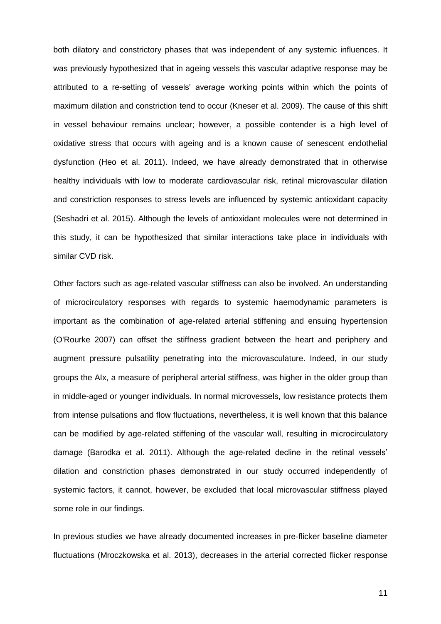both dilatory and constrictory phases that was independent of any systemic influences. It was previously hypothesized that in ageing vessels this vascular adaptive response may be attributed to a re-setting of vessels' average working points within which the points of maximum dilation and constriction tend to occur [\(Kneser et al. 2009\)](#page-14-3). The cause of this shift in vessel behaviour remains unclear; however, a possible contender is a high level of oxidative stress that occurs with ageing and is a known cause of senescent endothelial dysfunction [\(Heo et al. 2011\)](#page-14-6). Indeed, we have already demonstrated that in otherwise healthy individuals with low to moderate cardiovascular risk, retinal microvascular dilation and constriction responses to stress levels are influenced by systemic antioxidant capacity [\(Seshadri et al. 2015\)](#page-17-3). Although the levels of antioxidant molecules were not determined in this study, it can be hypothesized that similar interactions take place in individuals with similar CVD risk.

Other factors such as age-related vascular stiffness can also be involved. An understanding of microcirculatory responses with regards to systemic haemodynamic parameters is important as the combination of age-related arterial stiffening and ensuing hypertension [\(O'Rourke 2007\)](#page-16-6) can offset the stiffness gradient between the heart and periphery and augment pressure pulsatility penetrating into the microvasculature. Indeed, in our study groups the AIx, a measure of peripheral arterial stiffness, was higher in the older group than in middle-aged or younger individuals. In normal microvessels, low resistance protects them from intense pulsations and flow fluctuations, nevertheless, it is well known that this balance can be modified by age-related stiffening of the vascular wall, resulting in microcirculatory damage [\(Barodka et al. 2011\)](#page-13-7). Although the age-related decline in the retinal vessels' dilation and constriction phases demonstrated in our study occurred independently of systemic factors, it cannot, however, be excluded that local microvascular stiffness played some role in our findings.

In previous studies we have already documented increases in pre-flicker baseline diameter fluctuations [\(Mroczkowska et al. 2013\)](#page-15-8), decreases in the arterial corrected flicker response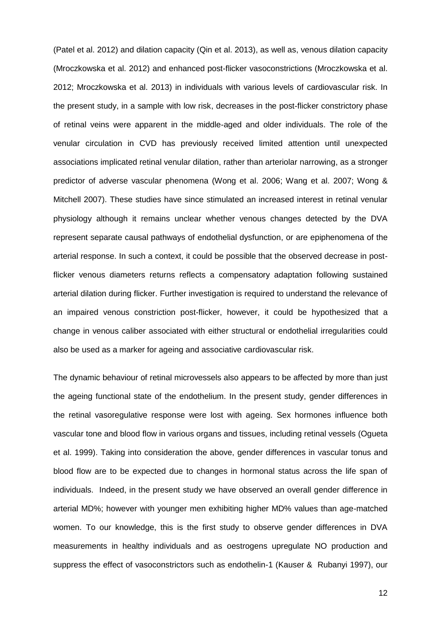[\(Patel et al. 2012\)](#page-16-4) and dilation capacity [\(Qin et al. 2013\)](#page-16-7), as well as, venous dilation capacity [\(Mroczkowska et al. 2012\)](#page-15-6) and enhanced post-flicker vasoconstrictions [\(Mroczkowska et al.](#page-15-6)  [2012;](#page-15-6) [Mroczkowska et al. 2013\)](#page-15-8) in individuals with various levels of cardiovascular risk. In the present study, in a sample with low risk, decreases in the post-flicker constrictory phase of retinal veins were apparent in the middle-aged and older individuals. The role of the venular circulation in CVD has previously received limited attention until unexpected associations implicated retinal venular dilation, rather than arteriolar narrowing, as a stronger predictor of adverse vascular phenomena [\(Wong et al. 2006;](#page-18-2) [Wang et al. 2007;](#page-17-7) [Wong &](#page-18-3)  [Mitchell 2007\)](#page-18-3). These studies have since stimulated an increased interest in retinal venular physiology although it remains unclear whether venous changes detected by the DVA represent separate causal pathways of endothelial dysfunction, or are epiphenomena of the arterial response. In such a context, it could be possible that the observed decrease in postflicker venous diameters returns reflects a compensatory adaptation following sustained arterial dilation during flicker. Further investigation is required to understand the relevance of an impaired venous constriction post-flicker, however, it could be hypothesized that a change in venous caliber associated with either structural or endothelial irregularities could also be used as a marker for ageing and associative cardiovascular risk.

The dynamic behaviour of retinal microvessels also appears to be affected by more than just the ageing functional state of the endothelium. In the present study, gender differences in the retinal vasoregulative response were lost with ageing. Sex hormones influence both vascular tone and blood flow in various organs and tissues, including retinal vessels [\(Ogueta](#page-16-8)  [et al. 1999\)](#page-16-8). Taking into consideration the above, gender differences in vascular tonus and blood flow are to be expected due to changes in hormonal status across the life span of individuals. Indeed, in the present study we have observed an overall gender difference in arterial MD%; however with younger men exhibiting higher MD% values than age-matched women. To our knowledge, this is the first study to observe gender differences in DVA measurements in healthy individuals and as oestrogens upregulate NO production and suppress the effect of vasoconstrictors such as endothelin-1 [\(Kauser & Rubanyi 1997\)](#page-14-7), our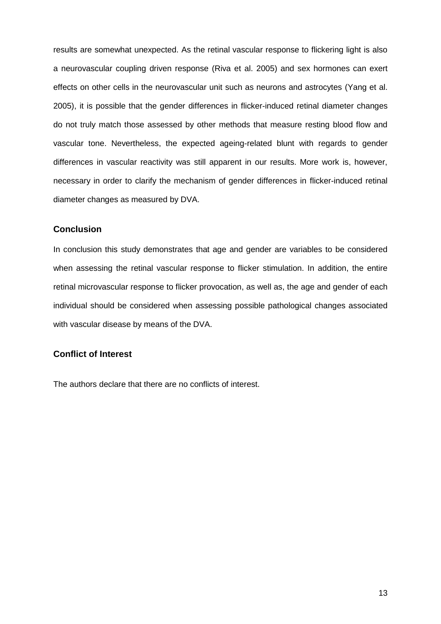results are somewhat unexpected. As the retinal vascular response to flickering light is also a neurovascular coupling driven response [\(Riva et al. 2005\)](#page-17-8) and sex hormones can exert effects on other cells in the neurovascular unit such as neurons and astrocytes [\(Yang et al.](#page-18-4)  [2005\)](#page-18-4), it is possible that the gender differences in flicker-induced retinal diameter changes do not truly match those assessed by other methods that measure resting blood flow and vascular tone. Nevertheless, the expected ageing-related blunt with regards to gender differences in vascular reactivity was still apparent in our results. More work is, however, necessary in order to clarify the mechanism of gender differences in flicker-induced retinal diameter changes as measured by DVA.

### **Conclusion**

In conclusion this study demonstrates that age and gender are variables to be considered when assessing the retinal vascular response to flicker stimulation. In addition, the entire retinal microvascular response to flicker provocation, as well as, the age and gender of each individual should be considered when assessing possible pathological changes associated with vascular disease by means of the DVA.

## **Conflict of Interest**

The authors declare that there are no conflicts of interest.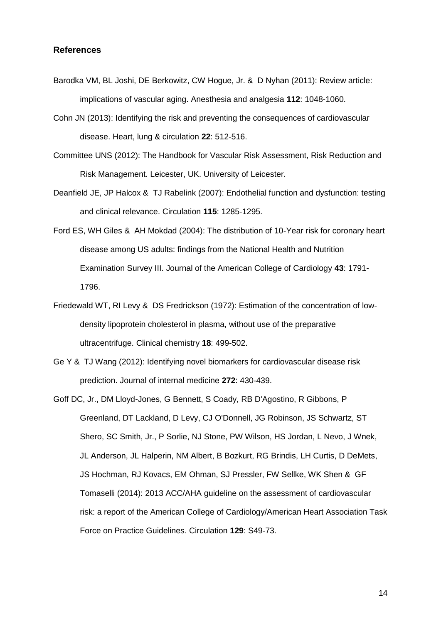### **References**

- <span id="page-13-7"></span>Barodka VM, BL Joshi, DE Berkowitz, CW Hogue, Jr. & D Nyhan (2011): Review article: implications of vascular aging. Anesthesia and analgesia **112**: 1048-1060.
- <span id="page-13-2"></span>Cohn JN (2013): Identifying the risk and preventing the consequences of cardiovascular disease. Heart, lung & circulation **22**: 512-516.
- <span id="page-13-0"></span>Committee UNS (2012): The Handbook for Vascular Risk Assessment, Risk Reduction and Risk Management. Leicester, UK. University of Leicester.
- <span id="page-13-4"></span>Deanfield JE, JP Halcox & TJ Rabelink (2007): Endothelial function and dysfunction: testing and clinical relevance. Circulation **115**: 1285-1295.
- <span id="page-13-6"></span>Ford ES, WH Giles & AH Mokdad (2004): The distribution of 10-Year risk for coronary heart disease among US adults: findings from the National Health and Nutrition Examination Survey III. Journal of the American College of Cardiology **43**: 1791- 1796.
- <span id="page-13-5"></span>Friedewald WT, RI Levy & DS Fredrickson (1972): Estimation of the concentration of lowdensity lipoprotein cholesterol in plasma, without use of the preparative ultracentrifuge. Clinical chemistry **18**: 499-502.
- <span id="page-13-3"></span>Ge Y & TJ Wang (2012): Identifying novel biomarkers for cardiovascular disease risk prediction. Journal of internal medicine **272**: 430-439.
- <span id="page-13-1"></span>Goff DC, Jr., DM Lloyd-Jones, G Bennett, S Coady, RB D'Agostino, R Gibbons, P Greenland, DT Lackland, D Levy, CJ O'Donnell, JG Robinson, JS Schwartz, ST Shero, SC Smith, Jr., P Sorlie, NJ Stone, PW Wilson, HS Jordan, L Nevo, J Wnek, JL Anderson, JL Halperin, NM Albert, B Bozkurt, RG Brindis, LH Curtis, D DeMets, JS Hochman, RJ Kovacs, EM Ohman, SJ Pressler, FW Sellke, WK Shen & GF Tomaselli (2014): 2013 ACC/AHA guideline on the assessment of cardiovascular risk: a report of the American College of Cardiology/American Heart Association Task Force on Practice Guidelines. Circulation **129**: S49-73.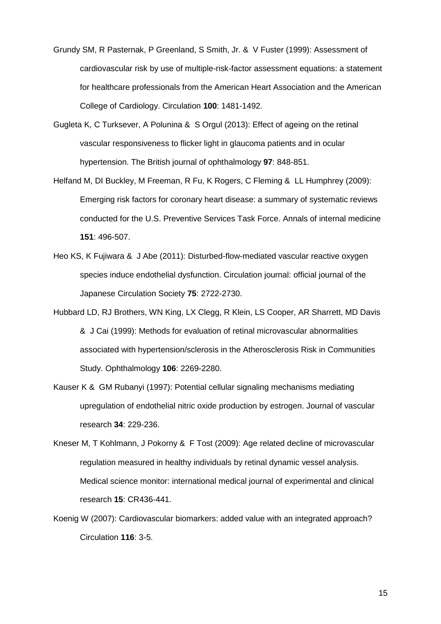- <span id="page-14-0"></span>Grundy SM, R Pasternak, P Greenland, S Smith, Jr. & V Fuster (1999): Assessment of cardiovascular risk by use of multiple-risk-factor assessment equations: a statement for healthcare professionals from the American Heart Association and the American College of Cardiology. Circulation **100**: 1481-1492.
- <span id="page-14-4"></span>Gugleta K, C Turksever, A Polunina & S Orgul (2013): Effect of ageing on the retinal vascular responsiveness to flicker light in glaucoma patients and in ocular hypertension. The British journal of ophthalmology **97**: 848-851.
- <span id="page-14-2"></span>Helfand M, DI Buckley, M Freeman, R Fu, K Rogers, C Fleming & LL Humphrey (2009): Emerging risk factors for coronary heart disease: a summary of systematic reviews conducted for the U.S. Preventive Services Task Force. Annals of internal medicine **151**: 496-507.
- <span id="page-14-6"></span>Heo KS, K Fujiwara & J Abe (2011): Disturbed-flow-mediated vascular reactive oxygen species induce endothelial dysfunction. Circulation journal: official journal of the Japanese Circulation Society **75**: 2722-2730.
- <span id="page-14-5"></span>Hubbard LD, RJ Brothers, WN King, LX Clegg, R Klein, LS Cooper, AR Sharrett, MD Davis & J Cai (1999): Methods for evaluation of retinal microvascular abnormalities associated with hypertension/sclerosis in the Atherosclerosis Risk in Communities Study. Ophthalmology **106**: 2269-2280.
- <span id="page-14-7"></span>Kauser K & GM Rubanyi (1997): Potential cellular signaling mechanisms mediating upregulation of endothelial nitric oxide production by estrogen. Journal of vascular research **34**: 229-236.
- <span id="page-14-3"></span>Kneser M, T Kohlmann, J Pokorny & F Tost (2009): Age related decline of microvascular regulation measured in healthy individuals by retinal dynamic vessel analysis. Medical science monitor: international medical journal of experimental and clinical research **15**: CR436-441.
- <span id="page-14-1"></span>Koenig W (2007): Cardiovascular biomarkers: added value with an integrated approach? Circulation **116**: 3-5.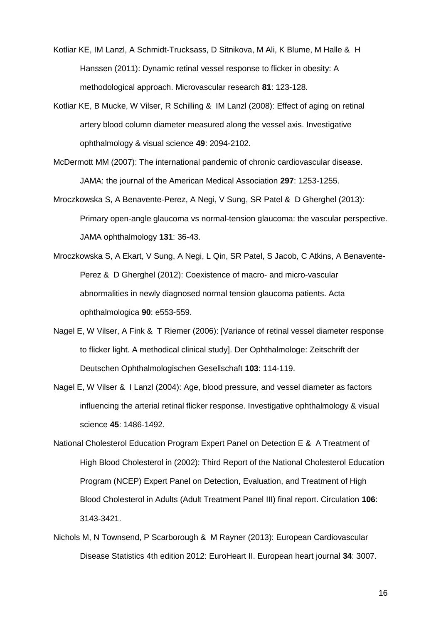- <span id="page-15-2"></span>Kotliar KE, IM Lanzl, A Schmidt-Trucksass, D Sitnikova, M Ali, K Blume, M Halle & H Hanssen (2011): Dynamic retinal vessel response to flicker in obesity: A methodological approach. Microvascular research **81**: 123-128.
- <span id="page-15-3"></span>Kotliar KE, B Mucke, W Vilser, R Schilling & IM Lanzl (2008): Effect of aging on retinal artery blood column diameter measured along the vessel axis. Investigative ophthalmology & visual science **49**: 2094-2102.
- <span id="page-15-0"></span>McDermott MM (2007): The international pandemic of chronic cardiovascular disease. JAMA: the journal of the American Medical Association **297**: 1253-1255.
- <span id="page-15-8"></span>Mroczkowska S, A Benavente-Perez, A Negi, V Sung, SR Patel & D Gherghel (2013): Primary open-angle glaucoma vs normal-tension glaucoma: the vascular perspective. JAMA ophthalmology **131**: 36-43.
- <span id="page-15-6"></span>Mroczkowska S, A Ekart, V Sung, A Negi, L Qin, SR Patel, S Jacob, C Atkins, A Benavente-Perez & D Gherghel (2012): Coexistence of macro- and micro-vascular abnormalities in newly diagnosed normal tension glaucoma patients. Acta ophthalmologica **90**: e553-559.
- <span id="page-15-7"></span>Nagel E, W Vilser, A Fink & T Riemer (2006): [Variance of retinal vessel diameter response to flicker light. A methodical clinical study]. Der Ophthalmologe: Zeitschrift der Deutschen Ophthalmologischen Gesellschaft **103**: 114-119.
- <span id="page-15-4"></span>Nagel E, W Vilser & I Lanzl (2004): Age, blood pressure, and vessel diameter as factors influencing the arterial retinal flicker response. Investigative ophthalmology & visual science **45**: 1486-1492.
- <span id="page-15-5"></span>National Cholesterol Education Program Expert Panel on Detection E & A Treatment of High Blood Cholesterol in (2002): Third Report of the National Cholesterol Education Program (NCEP) Expert Panel on Detection, Evaluation, and Treatment of High Blood Cholesterol in Adults (Adult Treatment Panel III) final report. Circulation **106**: 3143-3421.
- <span id="page-15-1"></span>Nichols M, N Townsend, P Scarborough & M Rayner (2013): European Cardiovascular Disease Statistics 4th edition 2012: EuroHeart II. European heart journal **34**: 3007.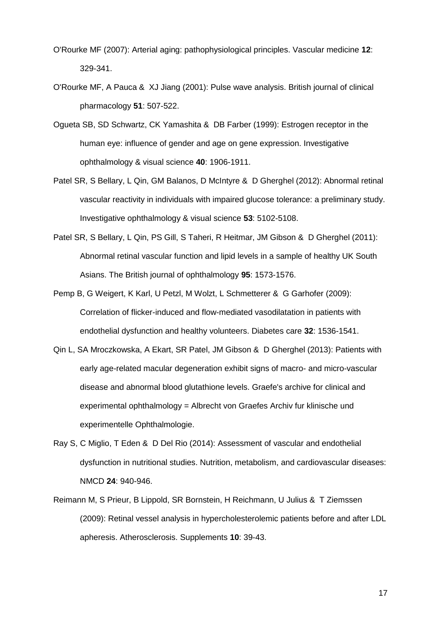- <span id="page-16-6"></span>O'Rourke MF (2007): Arterial aging: pathophysiological principles. Vascular medicine **12**: 329-341.
- <span id="page-16-5"></span>O'Rourke MF, A Pauca & XJ Jiang (2001): Pulse wave analysis. British journal of clinical pharmacology **51**: 507-522.
- <span id="page-16-8"></span>Ogueta SB, SD Schwartz, CK Yamashita & DB Farber (1999): Estrogen receptor in the human eye: influence of gender and age on gene expression. Investigative ophthalmology & visual science **40**: 1906-1911.
- <span id="page-16-4"></span>Patel SR, S Bellary, L Qin, GM Balanos, D McIntyre & D Gherghel (2012): Abnormal retinal vascular reactivity in individuals with impaired glucose tolerance: a preliminary study. Investigative ophthalmology & visual science **53**: 5102-5108.
- <span id="page-16-3"></span>Patel SR, S Bellary, L Qin, PS Gill, S Taheri, R Heitmar, JM Gibson & D Gherghel (2011): Abnormal retinal vascular function and lipid levels in a sample of healthy UK South Asians. The British journal of ophthalmology **95**: 1573-1576.
- <span id="page-16-1"></span>Pemp B, G Weigert, K Karl, U Petzl, M Wolzt, L Schmetterer & G Garhofer (2009): Correlation of flicker-induced and flow-mediated vasodilatation in patients with endothelial dysfunction and healthy volunteers. Diabetes care **32**: 1536-1541.
- <span id="page-16-7"></span>Qin L, SA Mroczkowska, A Ekart, SR Patel, JM Gibson & D Gherghel (2013): Patients with early age-related macular degeneration exhibit signs of macro- and micro-vascular disease and abnormal blood glutathione levels. Graefe's archive for clinical and experimental ophthalmology = Albrecht von Graefes Archiv fur klinische und experimentelle Ophthalmologie.
- <span id="page-16-0"></span>Ray S, C Miglio, T Eden & D Del Rio (2014): Assessment of vascular and endothelial dysfunction in nutritional studies. Nutrition, metabolism, and cardiovascular diseases: NMCD **24**: 940-946.
- <span id="page-16-2"></span>Reimann M, S Prieur, B Lippold, SR Bornstein, H Reichmann, U Julius & T Ziemssen (2009): Retinal vessel analysis in hypercholesterolemic patients before and after LDL apheresis. Atherosclerosis. Supplements **10**: 39-43.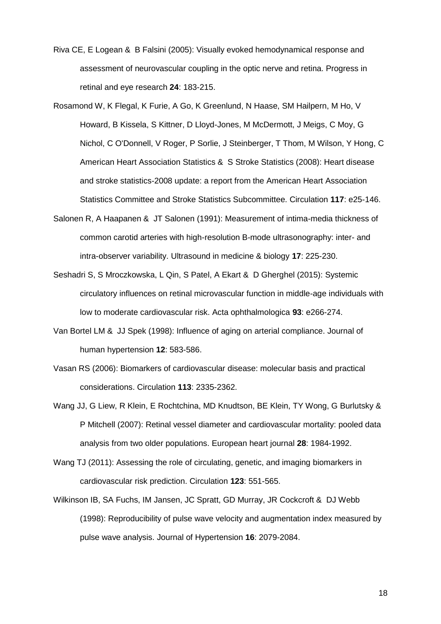- <span id="page-17-8"></span>Riva CE, E Logean & B Falsini (2005): Visually evoked hemodynamical response and assessment of neurovascular coupling in the optic nerve and retina. Progress in retinal and eye research **24**: 183-215.
- <span id="page-17-0"></span>Rosamond W, K Flegal, K Furie, A Go, K Greenlund, N Haase, SM Hailpern, M Ho, V Howard, B Kissela, S Kittner, D Lloyd-Jones, M McDermott, J Meigs, C Moy, G Nichol, C O'Donnell, V Roger, P Sorlie, J Steinberger, T Thom, M Wilson, Y Hong, C American Heart Association Statistics & S Stroke Statistics (2008): Heart disease and stroke statistics-2008 update: a report from the American Heart Association Statistics Committee and Stroke Statistics Subcommittee. Circulation **117**: e25-146.
- <span id="page-17-4"></span>Salonen R, A Haapanen & JT Salonen (1991): Measurement of intima-media thickness of common carotid arteries with high-resolution B-mode ultrasonography: inter- and intra-observer variability. Ultrasound in medicine & biology **17**: 225-230.
- <span id="page-17-3"></span>Seshadri S, S Mroczkowska, L Qin, S Patel, A Ekart & D Gherghel (2015): Systemic circulatory influences on retinal microvascular function in middle-age individuals with low to moderate cardiovascular risk. Acta ophthalmologica **93**: e266-274.
- <span id="page-17-6"></span>Van Bortel LM & JJ Spek (1998): Influence of aging on arterial compliance. Journal of human hypertension **12**: 583-586.
- <span id="page-17-1"></span>Vasan RS (2006): Biomarkers of cardiovascular disease: molecular basis and practical considerations. Circulation **113**: 2335-2362.
- <span id="page-17-7"></span>Wang JJ, G Liew, R Klein, E Rochtchina, MD Knudtson, BE Klein, TY Wong, G Burlutsky & P Mitchell (2007): Retinal vessel diameter and cardiovascular mortality: pooled data analysis from two older populations. European heart journal **28**: 1984-1992.
- <span id="page-17-2"></span>Wang TJ (2011): Assessing the role of circulating, genetic, and imaging biomarkers in cardiovascular risk prediction. Circulation **123**: 551-565.
- <span id="page-17-5"></span>Wilkinson IB, SA Fuchs, IM Jansen, JC Spratt, GD Murray, JR Cockcroft & DJ Webb (1998): Reproducibility of pulse wave velocity and augmentation index measured by pulse wave analysis. Journal of Hypertension **16**: 2079-2084.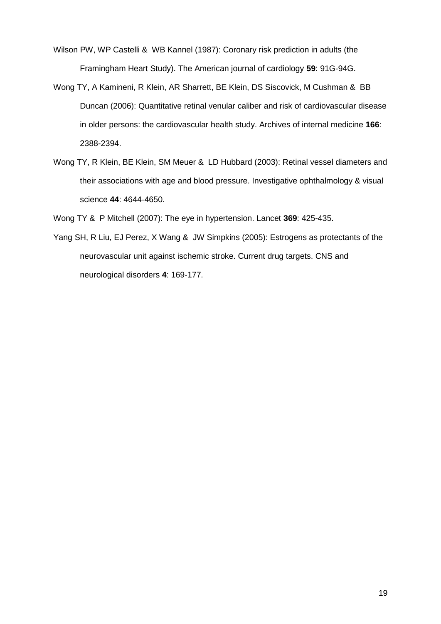- <span id="page-18-0"></span>Wilson PW, WP Castelli & WB Kannel (1987): Coronary risk prediction in adults (the Framingham Heart Study). The American journal of cardiology **59**: 91G-94G.
- <span id="page-18-2"></span>Wong TY, A Kamineni, R Klein, AR Sharrett, BE Klein, DS Siscovick, M Cushman & BB Duncan (2006): Quantitative retinal venular caliber and risk of cardiovascular disease in older persons: the cardiovascular health study. Archives of internal medicine **166**: 2388-2394.
- <span id="page-18-1"></span>Wong TY, R Klein, BE Klein, SM Meuer & LD Hubbard (2003): Retinal vessel diameters and their associations with age and blood pressure. Investigative ophthalmology & visual science **44**: 4644-4650.
- <span id="page-18-3"></span>Wong TY & P Mitchell (2007): The eye in hypertension. Lancet **369**: 425-435.
- <span id="page-18-4"></span>Yang SH, R Liu, EJ Perez, X Wang & JW Simpkins (2005): Estrogens as protectants of the neurovascular unit against ischemic stroke. Current drug targets. CNS and neurological disorders **4**: 169-177.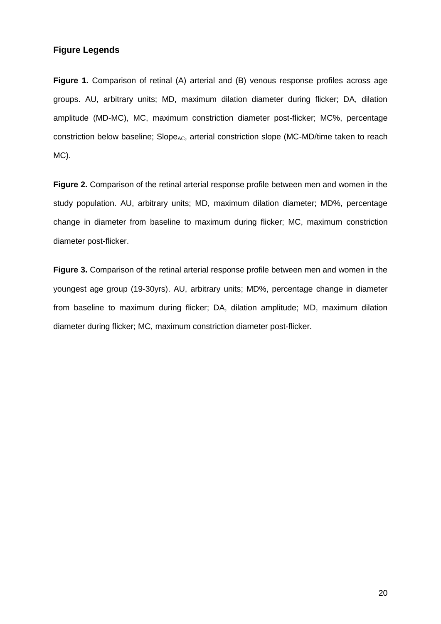### **Figure Legends**

**Figure 1.** Comparison of retinal (A) arterial and (B) venous response profiles across age groups. AU, arbitrary units; MD, maximum dilation diameter during flicker; DA, dilation amplitude (MD-MC), MC, maximum constriction diameter post-flicker; MC%, percentage constriction below baseline; Slope<sub>AC</sub>, arterial constriction slope (MC-MD/time taken to reach MC).

**Figure 2.** Comparison of the retinal arterial response profile between men and women in the study population. AU, arbitrary units; MD, maximum dilation diameter; MD%, percentage change in diameter from baseline to maximum during flicker; MC, maximum constriction diameter post-flicker.

**Figure 3.** Comparison of the retinal arterial response profile between men and women in the youngest age group (19-30yrs). AU, arbitrary units; MD%, percentage change in diameter from baseline to maximum during flicker; DA, dilation amplitude; MD, maximum dilation diameter during flicker; MC, maximum constriction diameter post-flicker.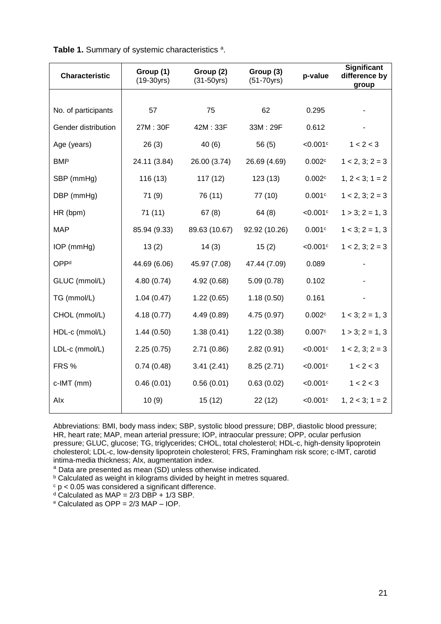| <b>Characteristic</b>   | Group (1)<br>$(19-30yrs)$ | Group (2)<br>$(31 - 50yrs)$ | Group (3)<br>$(51 - 70yrs)$ | p-value                | <b>Significant</b><br>difference by<br>group |  |
|-------------------------|---------------------------|-----------------------------|-----------------------------|------------------------|----------------------------------------------|--|
|                         |                           |                             |                             |                        |                                              |  |
| No. of participants     | 57                        | 75                          | 62                          | 0.295                  |                                              |  |
| Gender distribution     | 27M: 30F                  | 42M: 33F                    | 33M: 29F                    | 0.612                  |                                              |  |
| Age (years)             | 26(3)                     | 40(6)                       | 56(5)                       | $<$ 0.001 $\circ$      | 1 < 2 < 3                                    |  |
| <b>BMI</b> <sup>b</sup> | 24.11 (3.84)              | 26.00 (3.74)                | 26.69 (4.69)                | 0.002c                 | $1 < 2, 3; 2 = 3$                            |  |
| SBP (mmHg)              | 116 (13)                  | 117(12)                     | 123(13)                     | 0.002c                 | $1, 2 < 3$ ; $1 = 2$                         |  |
| DBP (mmHg)              | 71(9)                     | 76 (11)                     | 77 (10)                     | 0.001c                 | $1 < 2, 3; 2 = 3$                            |  |
| HR (bpm)                | 71(11)                    | 67(8)                       | 64(8)                       | <0.001c                | $1 > 3$ ; $2 = 1, 3$                         |  |
| <b>MAP</b>              | 85.94 (9.33)              | 89.63 (10.67)               | 92.92 (10.26)               | 0.001c                 | $1 < 3$ ; $2 = 1, 3$                         |  |
| IOP (mmHg)              | 13(2)                     | 14(3)                       | 15(2)                       | < 0.001c               | $1 < 2, 3; 2 = 3$                            |  |
| OPP <sup>d</sup>        | 44.69 (6.06)              | 45.97 (7.08)                | 47.44 (7.09)                | 0.089                  |                                              |  |
| GLUC (mmol/L)           | 4.80(0.74)                | 4.92(0.68)                  | 5.09(0.78)                  | 0.102                  |                                              |  |
| TG (mmol/L)             | 1.04(0.47)                | 1.22(0.65)                  | 1.18(0.50)                  | 0.161                  |                                              |  |
| CHOL (mmol/L)           | 4.18(0.77)                | 4.49(0.89)                  | 4.75 (0.97)                 | 0.002c                 | $1 < 3$ ; $2 = 1, 3$                         |  |
| HDL-c (mmol/L)          | 1.44(0.50)                | 1.38(0.41)                  | 1.22(0.38)                  | 0.007c                 | $1 > 3$ ; $2 = 1, 3$                         |  |
| LDL-c (mmol/L)          | 2.25(0.75)                | 2.71(0.86)                  | 2.82(0.91)                  | < 0.001c               | $1 < 2, 3; 2 = 3$                            |  |
| FRS <sub>%</sub>        | 0.74(0.48)                | 3.41(2.41)                  | 8.25(2.71)                  | $<$ 0.001 $\circ$      | 1 < 2 < 3                                    |  |
| c-IMT (mm)              | 0.46(0.01)                | 0.56(0.01)                  | 0.63(0.02)                  | $< 0.001$ <sup>c</sup> | 1 < 2 < 3                                    |  |
| Alx                     | 10(9)                     | 15(12)                      | 22(12)                      | $<$ 0.001 $^{\circ}$   | $1, 2 < 3$ ; $1 = 2$                         |  |

Table 1. Summary of systemic characteristics<sup>a</sup>.

Abbreviations: BMI, body mass index; SBP, systolic blood pressure; DBP, diastolic blood pressure; HR, heart rate; MAP, mean arterial pressure; IOP, intraocular pressure; OPP, ocular perfusion pressure; GLUC, glucose; TG, triglycerides; CHOL, total cholesterol; HDL-c, high-density lipoprotein cholesterol; LDL-c, low-density lipoprotein cholesterol; FRS, Framingham risk score; c-IMT, carotid intima-media thickness; AIx, augmentation index.

a Data are presented as mean (SD) unless otherwise indicated.

**b** Calculated as weight in kilograms divided by height in metres squared.

 $c$  p < 0.05 was considered a significant difference.

 $d$  Calculated as MAP = 2/3 DBP + 1/3 SBP.

<sup>e</sup> Calculated as OPP = 2/3 MAP – IOP.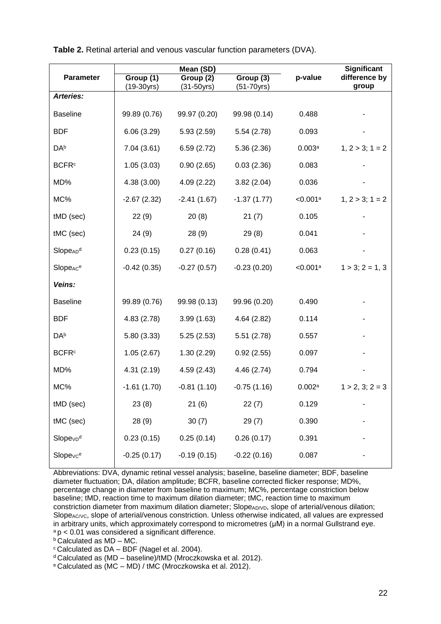|                                  |                           | Mean (SD)                                                |               | Significant<br>difference by<br>group |                      |
|----------------------------------|---------------------------|----------------------------------------------------------|---------------|---------------------------------------|----------------------|
| <b>Parameter</b>                 | Group (1)<br>$(19-30yrs)$ | Group (3)<br>Group (2)<br>$(31 - 50yrs)$<br>$(51-70yrs)$ |               |                                       |                      |
| <b>Arteries:</b>                 |                           |                                                          |               |                                       |                      |
| <b>Baseline</b>                  | 99.89 (0.76)              | 99.97 (0.20)                                             | 99.98 (0.14)  | 0.488                                 |                      |
| <b>BDF</b>                       | 6.06(3.29)                | 5.93(2.59)                                               | 5.54(2.78)    | 0.093                                 |                      |
| DA <sup>b</sup>                  | 7.04(3.61)                | 6.59(2.72)                                               | 5.36(2.36)    | 0.003a                                | $1, 2 > 3$ ; $1 = 2$ |
| <b>BCFR</b> <sup>c</sup>         | 1.05(3.03)                | 0.90(2.65)                                               | 0.03(2.36)    | 0.083                                 |                      |
| MD%                              | 4.38(3.00)                | 4.09(2.22)                                               | 3.82(2.04)    | 0.036                                 |                      |
| MC%                              | $-2.67(2.32)$             | $-2.41(1.67)$                                            | $-1.37(1.77)$ | < 0.001a                              | $1, 2 > 3$ ; $1 = 2$ |
| tMD (sec)                        | 22(9)                     | 20(8)                                                    | 21(7)         | 0.105                                 |                      |
| tMC (sec)                        | 24(9)                     | 28(9)                                                    | 29(8)         | 0.041                                 |                      |
| SlopeAD <sup>d</sup>             | 0.23(0.15)                | 0.27(0.16)                                               | 0.28(0.41)    | 0.063                                 |                      |
| Slope <sub>ACe</sub>             | $-0.42(0.35)$             | $-0.27(0.57)$                                            | $-0.23(0.20)$ | < 0.001a                              | $1 > 3$ ; $2 = 1, 3$ |
| Veins:                           |                           |                                                          |               |                                       |                      |
| <b>Baseline</b>                  | 99.89 (0.76)              | 99.98 (0.13)                                             | 99.96 (0.20)  | 0.490                                 |                      |
| <b>BDF</b>                       | 4.83(2.78)                | 3.99(1.63)                                               | 4.64(2.82)    | 0.114                                 |                      |
| DA <sup>b</sup>                  | 5.80(3.33)                | 5.25(2.53)                                               | 5.51(2.78)    | 0.557                                 |                      |
| <b>BCFR</b> <sup>c</sup>         | 1.05(2.67)                | 1.30(2.29)                                               | 0.92(2.55)    | 0.097                                 |                      |
| MD%                              | 4.31(2.19)                | 4.59(2.43)                                               | 4.46(2.74)    | 0.794                                 |                      |
| MC%                              | $-1.61(1.70)$             | $-0.81(1.10)$                                            | $-0.75(1.16)$ | 0.002a                                | $1 > 2, 3; 2 = 3$    |
| tMD (sec)                        | 23(8)                     | 21(6)                                                    | 22(7)         | 0.129                                 |                      |
| tMC (sec)                        | 28 (9)                    | 30(7)                                                    | 29(7)         | 0.390                                 |                      |
| Slope <sub>VD</sub> <sup>d</sup> | 0.23(0.15)                | 0.25(0.14)                                               | 0.26(0.17)    | 0.391                                 |                      |
| Slopevce                         | $-0.25(0.17)$             | $-0.19(0.15)$                                            | $-0.22(0.16)$ | 0.087                                 |                      |

**Table 2.** Retinal arterial and venous vascular function parameters (DVA).

Abbreviations: DVA, dynamic retinal vessel analysis; baseline, baseline diameter; BDF, baseline diameter fluctuation; DA, dilation amplitude; BCFR, baseline corrected flicker response; MD%, percentage change in diameter from baseline to maximum; MC%, percentage constriction below baseline; tMD, reaction time to maximum dilation diameter; tMC, reaction time to maximum constriction diameter from maximum dilation diameter; Slope<sub>AD/VD</sub>, slope of arterial/venous dilation; Slope<sub>AC/VC</sub>, slope of arterial/venous constriction. Unless otherwise indicated, all values are expressed in arbitrary units, which approximately correspond to micrometres (μM) in a normal Gullstrand eye.  $a<sub>p</sub>$  < 0.01 was considered a significant difference.

**b** Calculated as MD - MC.

 $\textdegree$  Calculated as DA – BDF [\(Nagel et al. 2004\)](#page-15-4).

<sup>d</sup> Calculated as (MD – baseline)/tMD [\(Mroczkowska et al. 2012\)](#page-15-6).

<sup>e</sup> Calculated as (MC – MD) / tMC [\(Mroczkowska et al. 2012\)](#page-15-6).